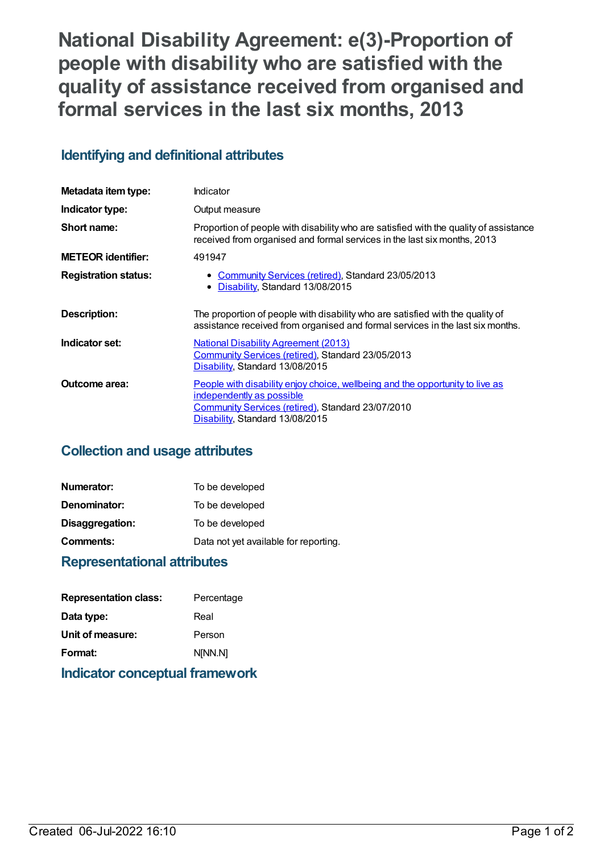**National Disability Agreement: e(3)-Proportion of people with disability who are satisfied with the quality of assistance received from organised and formal services in the last six months, 2013**

# **Identifying and definitional attributes**

| Metadata item type:         | Indicator                                                                                                                                                                                                        |
|-----------------------------|------------------------------------------------------------------------------------------------------------------------------------------------------------------------------------------------------------------|
| Indicator type:             | Output measure                                                                                                                                                                                                   |
| Short name:                 | Proportion of people with disability who are satisfied with the quality of assistance<br>received from organised and formal services in the last six months, 2013                                                |
| <b>METEOR identifier:</b>   | 491947                                                                                                                                                                                                           |
| <b>Registration status:</b> | • Community Services (retired), Standard 23/05/2013<br>• Disability, Standard 13/08/2015                                                                                                                         |
| Description:                | The proportion of people with disability who are satisfied with the quality of<br>assistance received from organised and formal services in the last six months.                                                 |
| Indicator set:              | <b>National Disability Agreement (2013)</b><br>Community Services (retired), Standard 23/05/2013<br>Disability, Standard 13/08/2015                                                                              |
| Outcome area:               | People with disability enjoy choice, wellbeing and the opportunity to live as<br><u>independently as possible</u><br><b>Community Services (retired), Standard 23/07/2010</b><br>Disability, Standard 13/08/2015 |

# **Collection and usage attributes**

| Numerator:      | To be developed                       |
|-----------------|---------------------------------------|
| Denominator:    | To be developed                       |
| Disaggregation: | To be developed                       |
| Comments:       | Data not yet available for reporting. |

# **Representational attributes**

| Percentage |
|------------|

# **Indicator conceptual framework**